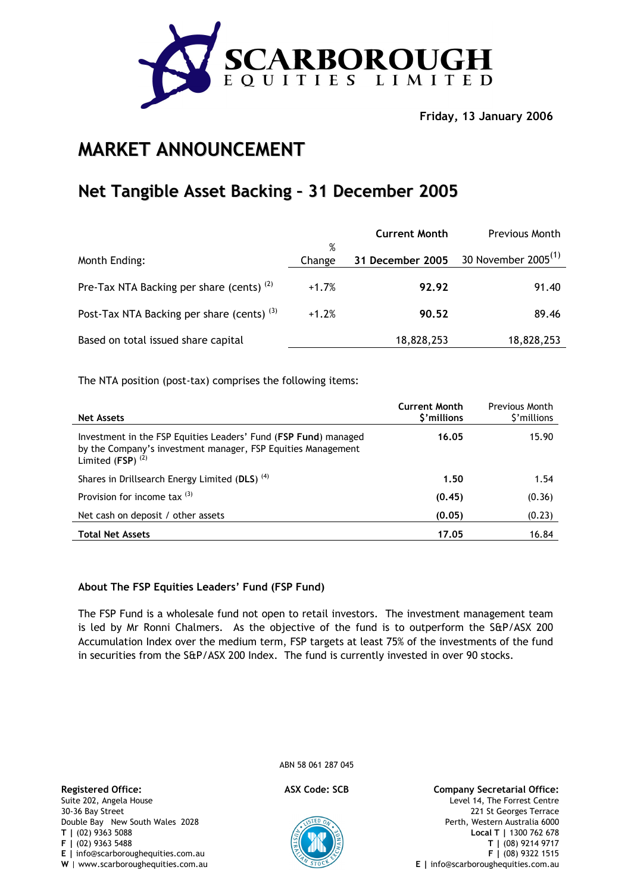

**Friday, 13 January 2006** 

# **MARKET ANNOUNCEMENT**

# **Net Tangible Asset Backing – 31 December 2005**

|                                                      |             | <b>Current Month</b> | <b>Previous Month</b>           |
|------------------------------------------------------|-------------|----------------------|---------------------------------|
| Month Ending:                                        | %<br>Change | 31 December 2005     | 30 November 2005 <sup>(1)</sup> |
| Pre-Tax NTA Backing per share (cents) <sup>(2)</sup> | $+1.7%$     | 92.92                | 91.40                           |
| Post-Tax NTA Backing per share (cents) $(3)$         | $+1.2%$     | 90.52                | 89.46                           |
| Based on total issued share capital                  |             | 18,828,253           | 18,828,253                      |

The NTA position (post-tax) comprises the following items:

| <b>Net Assets</b>                                                                                                                                                 | <b>Current Month</b><br>\$'millions | <b>Previous Month</b><br>\$'millions |
|-------------------------------------------------------------------------------------------------------------------------------------------------------------------|-------------------------------------|--------------------------------------|
| Investment in the FSP Equities Leaders' Fund (FSP Fund) managed<br>by the Company's investment manager, FSP Equities Management<br>Limited $(FSP)$ <sup>(2)</sup> | 16.05                               | 15.90                                |
| Shares in Drillsearch Energy Limited (DLS) <sup>(4)</sup>                                                                                                         | 1.50                                | 1.54                                 |
| Provision for income tax $(3)$                                                                                                                                    | (0.45)                              | (0.36)                               |
| Net cash on deposit / other assets                                                                                                                                | (0.05)                              | (0.23)                               |
| <b>Total Net Assets</b>                                                                                                                                           | 17.05                               | 16.84                                |

## **About The FSP Equities Leaders' Fund (FSP Fund)**

The FSP Fund is a wholesale fund not open to retail investors. The investment management team is led by Mr Ronni Chalmers. As the objective of the fund is to outperform the S&P/ASX 200 Accumulation Index over the medium term, FSP targets at least 75% of the investments of the fund in securities from the S&P/ASX 200 Index. The fund is currently invested in over 90 stocks.

Suite 202, Angela House 30-36 Bay Street Double Bay New South Wales 2028 **T |** (02) 9363 5088 **F |** (02) 9363 5488 **E |** info@scarboroughequities.com.au **W** | www.scarboroughequities.com.au ABN 58 061 287 045



**Registered Office: ASX Code: SCB Company Secretarial Office:** Level 14, The Forrest Centre 221 St Georges Terrace Perth, Western Australia 6000 **Local T |** 1300 762 678 **T |** (08) 9214 9717 **F |** (08) 9322 1515 **E |** info@scarboroughequities.com.au